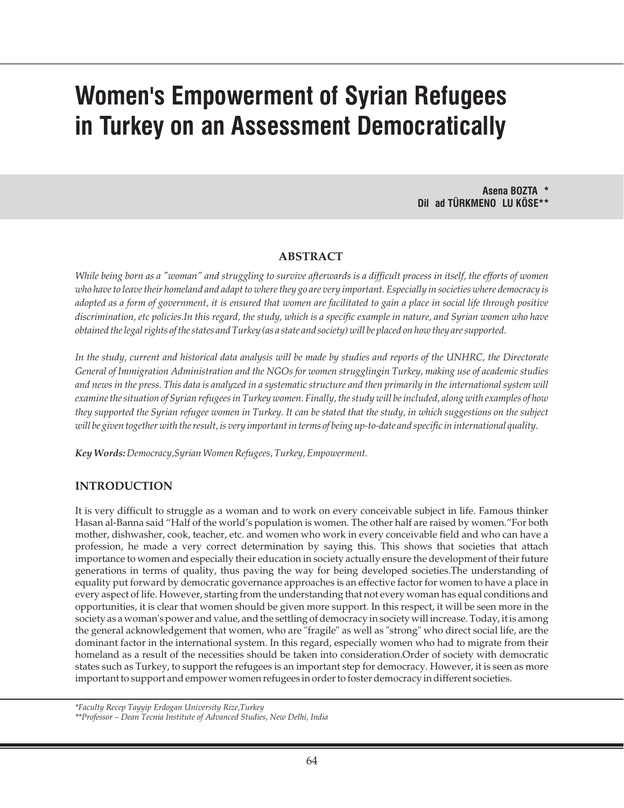# **Women's Empowerment of Syrian Refugees in Turkey on an Assessment Democratically**

**Asena BOZTA \* Dil ad TÜRKMENO LU KÖSE\*\***

### **ABSTRACT**

*While being born as a "woman" and struggling to survive afterwards is a difficult process in itself, the efforts of women who have to leave their homeland and adapt to where they go are very important. Especially in societies where democracy is adopted as a form of government, it is ensured that women are facilitated to gain a place in social life through positive discrimination, etc policies.In this regard, the study, which is a specific example in nature, and Syrian women who have obtained the legal rights of the states and Turkey (as a state and society) will be placed on how they are supported.*

In the study, current and historical data analysis will be made by studies and reports of the UNHRC, the Directorate *General of Immigration Administration and the NGOs for women strugglingin Turkey, making use of academic studies and news in the press. This data is analyzed in a systematic structure and then primarily in the international system will examine the situation of Syrian refugees in Turkey women. Finally, the study will be included, along with examples of how they supported the Syrian refugee women in Turkey. It can be stated that the study, in which suggestions on the subject will be given together with the result, is very important in terms of being up-to-date and specific in international quality.*

*Key Words:Democracy,Syrian Women Refugees, Turkey, Empowerment.*

# **INTRODUCTION**

It is very difficult to struggle as a woman and to work on every conceivable subject in life. Famous thinker Hasan al-Banna said "Half of the world's population is women. The other half are raised by women."For both mother, dishwasher, cook, teacher, etc. and women who work in every conceivable field and who can have a profession, he made a very correct determination by saying this. This shows that societies that attach importance to women and especially their education in society actually ensure the development of their future generations in terms of quality, thus paving the way for being developed societies.The understanding of equality put forward by democratic governance approaches is an effective factor for women to have a place in every aspect of life. However, starting from the understanding that not every woman has equal conditions and opportunities, it is clear that women should be given more support. In this respect, it will be seen more in the society as a woman's power and value, and the settling of democracy in society will increase. Today, it is among the general acknowledgement that women, who are "fragile" as well as "strong" who direct social life, are the dominant factor in the international system. In this regard, especially women who had to migrate from their homeland as a result of the necessities should be taken into consideration.Order of society with democratic states such as Turkey, to support the refugees is an important step for democracy. However, it is seen as more important to support and empower women refugees in order to foster democracy in different societies.

*<sup>\*</sup>Faculty Recep Tayyip Erdogan University Rize,Turkey*

*<sup>\*\*</sup>Professor – Dean Tecnia Institute of Advanced Studies, New Delhi, India*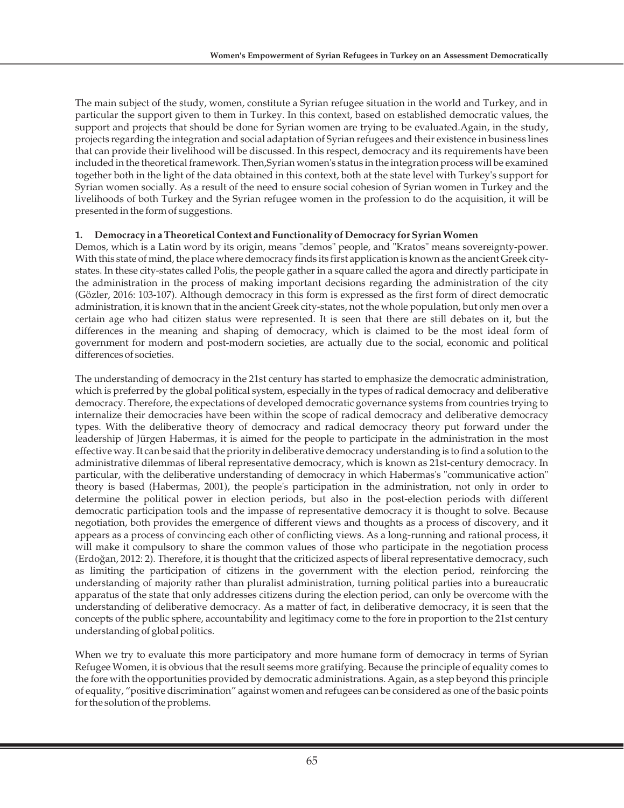The main subject of the study, women, constitute a Syrian refugee situation in the world and Turkey, and in particular the support given to them in Turkey. In this context, based on established democratic values, the support and projects that should be done for Syrian women are trying to be evaluated.Again, in the study, projects regarding the integration and social adaptation of Syrian refugees and their existence in business lines that can provide their livelihood will be discussed. In this respect, democracy and its requirements have been included in the theoretical framework. Then,Syrian women's status in the integration process will be examined together both in the light of the data obtained in this context, both at the state level with Turkey's support for Syrian women socially. As a result of the need to ensure social cohesion of Syrian women in Turkey and the livelihoods of both Turkey and the Syrian refugee women in the profession to do the acquisition, it will be presented in the form of suggestions.

# **1. Democracy in a Theoretical Context and Functionality of Democracy for Syrian Women**

Demos, which is a Latin word by its origin, means "demos" people, and "Kratos" means sovereignty-power. With this state of mind, the place where democracy finds its first application is known as the ancient Greek citystates. In these city-states called Polis, the people gather in a square called the agora and directly participate in the administration in the process of making important decisions regarding the administration of the city (Gözler, 2016: 103-107). Although democracy in this form is expressed as the first form of direct democratic administration, it is known that in the ancient Greek city-states, not the whole population, but only men over a certain age who had citizen status were represented. It is seen that there are still debates on it, but the differences in the meaning and shaping of democracy, which is claimed to be the most ideal form of government for modern and post-modern societies, are actually due to the social, economic and political differences of societies.

The understanding of democracy in the 21st century has started to emphasize the democratic administration, which is preferred by the global political system, especially in the types of radical democracy and deliberative democracy. Therefore, the expectations of developed democratic governance systems from countries trying to internalize their democracies have been within the scope of radical democracy and deliberative democracy types. With the deliberative theory of democracy and radical democracy theory put forward under the leadership of Jürgen Habermas, it is aimed for the people to participate in the administration in the most effective way. It can be said that the priority in deliberative democracy understanding is to find a solution to the administrative dilemmas of liberal representative democracy, which is known as 21st-century democracy. In particular, with the deliberative understanding of democracy in which Habermas's "communicative action" theory is based (Habermas, 2001), the people's participation in the administration, not only in order to determine the political power in election periods, but also in the post-election periods with different democratic participation tools and the impasse of representative democracy it is thought to solve. Because negotiation, both provides the emergence of different views and thoughts as a process of discovery, and it appears as a process of convincing each other of conflicting views. As a long-running and rational process, it will make it compulsory to share the common values of those who participate in the negotiation process (Erdoğan, 2012: 2). Therefore, it is thought that the criticized aspects of liberal representative democracy, such as limiting the participation of citizens in the government with the election period, reinforcing the understanding of majority rather than pluralist administration, turning political parties into a bureaucratic apparatus of the state that only addresses citizens during the election period, can only be overcome with the understanding of deliberative democracy. As a matter of fact, in deliberative democracy, it is seen that the concepts of the public sphere, accountability and legitimacy come to the fore in proportion to the 21st century understanding of global politics.

When we try to evaluate this more participatory and more humane form of democracy in terms of Syrian Refugee Women, it is obvious that the result seems more gratifying. Because the principle of equality comes to the fore with the opportunities provided by democratic administrations. Again, as a step beyond this principle of equality, "positive discrimination" against women and refugees can be considered as one of the basic points for the solution of the problems.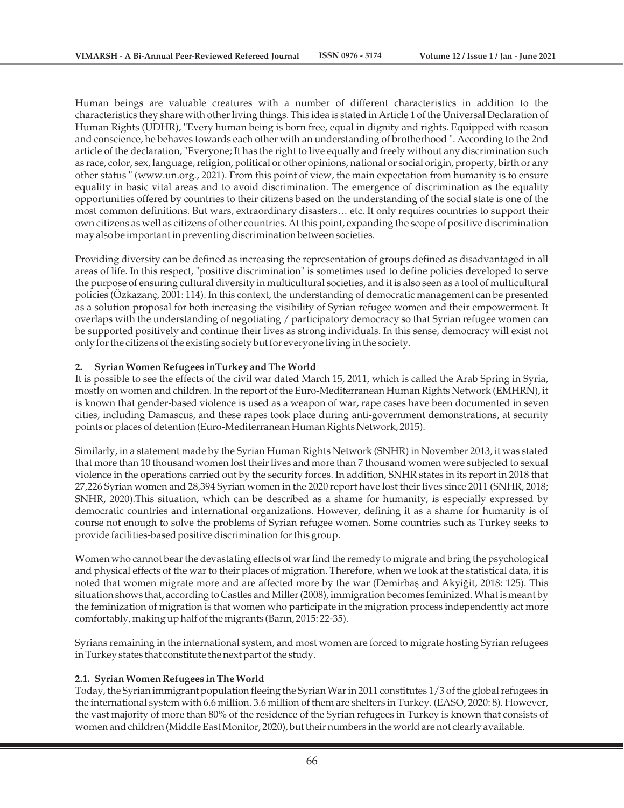Human beings are valuable creatures with a number of different characteristics in addition to the characteristics they share with other living things. This idea is stated in Article 1 of the Universal Declaration of Human Rights (UDHR), "Every human being is born free, equal in dignity and rights. Equipped with reason and conscience, he behaves towards each other with an understanding of brotherhood ". According to the 2nd article of the declaration, "Everyone; It has the right to live equally and freely without any discrimination such as race, color, sex, language, religion, political or other opinions, national or social origin, property, birth or any other status " (www.un.org., 2021). From this point of view, the main expectation from humanity is to ensure equality in basic vital areas and to avoid discrimination. The emergence of discrimination as the equality opportunities offered by countries to their citizens based on the understanding of the social state is one of the most common definitions. But wars, extraordinary disasters… etc. It only requires countries to support their own citizens as well as citizens of other countries. At this point, expanding the scope of positive discrimination may also be important in preventing discrimination between societies.

Providing diversity can be defined as increasing the representation of groups defined as disadvantaged in all areas of life. In this respect, "positive discrimination" is sometimes used to define policies developed to serve the purpose of ensuring cultural diversity in multicultural societies, and it is also seen as a tool of multicultural policies (Özkazanç, 2001: 114). In this context, the understanding of democratic management can be presented as a solution proposal for both increasing the visibility of Syrian refugee women and their empowerment. It overlaps with the understanding of negotiating / participatory democracy so that Syrian refugee women can be supported positively and continue their lives as strong individuals. In this sense, democracy will exist not only for the citizens of the existing society but for everyone living in the society.

#### **2. Syrian Women Refugees inTurkey and The World**

It is possible to see the effects of the civil war dated March 15, 2011, which is called the Arab Spring in Syria, mostly on women and children. In the report of the Euro-Mediterranean Human Rights Network (EMHRN), it is known that gender-based violence is used as a weapon of war, rape cases have been documented in seven cities, including Damascus, and these rapes took place during anti-government demonstrations, at security points or places of detention (Euro-Mediterranean Human Rights Network, 2015).

Similarly, in a statement made by the Syrian Human Rights Network (SNHR) in November 2013, it was stated that more than 10 thousand women lost their lives and more than 7 thousand women were subjected to sexual violence in the operations carried out by the security forces. In addition, SNHR states in its report in 2018 that 27,226 Syrian women and 28,394 Syrian women in the 2020 report have lost their lives since 2011 (SNHR, 2018; SNHR, 2020).This situation, which can be described as a shame for humanity, is especially expressed by democratic countries and international organizations. However, defining it as a shame for humanity is of course not enough to solve the problems of Syrian refugee women. Some countries such as Turkey seeks to provide facilities-based positive discrimination for this group.

Women who cannot bear the devastating effects of war find the remedy to migrate and bring the psychological and physical effects of the war to their places of migration. Therefore, when we look at the statistical data, it is noted that women migrate more and are affected more by the war (Demirbaş and Akyiğit, 2018: 125). This situation shows that, according to Castles and Miller (2008), immigration becomes feminized. What is meant by the feminization of migration is that women who participate in the migration process independently act more comfortably, making up half of the migrants (Barın, 2015: 22-35).

Syrians remaining in the international system, and most women are forced to migrate hosting Syrian refugees in Turkey states that constitute the next part of the study.

#### **2.1. Syrian Women Refugees in The World**

Today, the Syrian immigrant population fleeing the Syrian War in 2011 constitutes 1/3 of the global refugees in the international system with 6.6 million. 3.6 million of them are shelters in Turkey. (EASO, 2020: 8). However, the vast majority of more than 80% of the residence of the Syrian refugees in Turkey is known that consists of women and children (Middle East Monitor, 2020), but their numbers in the world are not clearly available.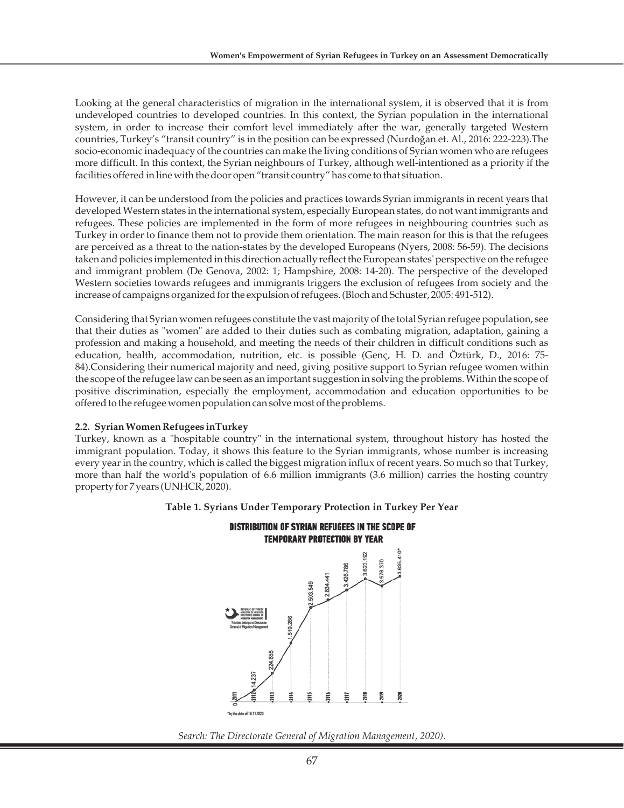Looking at the general characteristics of migration in the international system, it is observed that it is from undeveloped countries to developed countries. In this context, the Syrian population in the international system, in order to increase their comfort level immediately after the war, generally targeted Western countries, Turkey's "transit country" is in the position can be expressed (Nurdoğan et. Al., 2016: 222-223).The socio-economic inadequacy of the countries can make the living conditions of Syrian women who are refugees more difficult. In this context, the Syrian neighbours of Turkey, although well-intentioned as a priority if the facilities offered in line with the door open "transit country" has come to that situation.

However, it can be understood from the policies and practices towards Syrian immigrants in recent years that developed Western states in the international system, especially European states, do not want immigrants and refugees. These policies are implemented in the form of more refugees in neighbouring countries such as Turkey in order to finance them not to provide them orientation. The main reason for this is that the refugees are perceived as a threat to the nation-states by the developed Europeans (Nyers, 2008: 56-59). The decisions taken and policies implemented in this direction actually reflect the European states' perspective on the refugee and immigrant problem (De Genova, 2002: 1; Hampshire, 2008: 14-20). The perspective of the developed Western societies towards refugees and immigrants triggers the exclusion of refugees from society and the increase of campaigns organized for the expulsion of refugees. (Bloch and Schuster, 2005: 491-512).

Considering that Syrian women refugees constitute the vast majority of the total Syrian refugee population, see that their duties as "women" are added to their duties such as combating migration, adaptation, gaining a profession and making a household, and meeting the needs of their children in difficult conditions such as education, health, accommodation, nutrition, etc. is possible (Genç, H. D. and Öztürk, D., 2016: 75- 84).Considering their numerical majority and need, giving positive support to Syrian refugee women within the scope of the refugee law can be seen as an important suggestion in solving the problems. Within the scope of positive discrimination, especially the employment, accommodation and education opportunities to be offered to the refugee women population can solve most of the problems.

#### **2.2. Syrian Women Refugees inTurkey**

Turkey, known as a "hospitable country" in the international system, throughout history has hosted the immigrant population. Today, it shows this feature to the Syrian immigrants, whose number is increasing every year in the country, which is called the biggest migration influx of recent years. So much so that Turkey, more than half the world's population of 6.6 million immigrants (3.6 million) carries the hosting country property for 7 years (UNHCR, 2020).





*Search: The Directorate General of Migration Management, 2020).*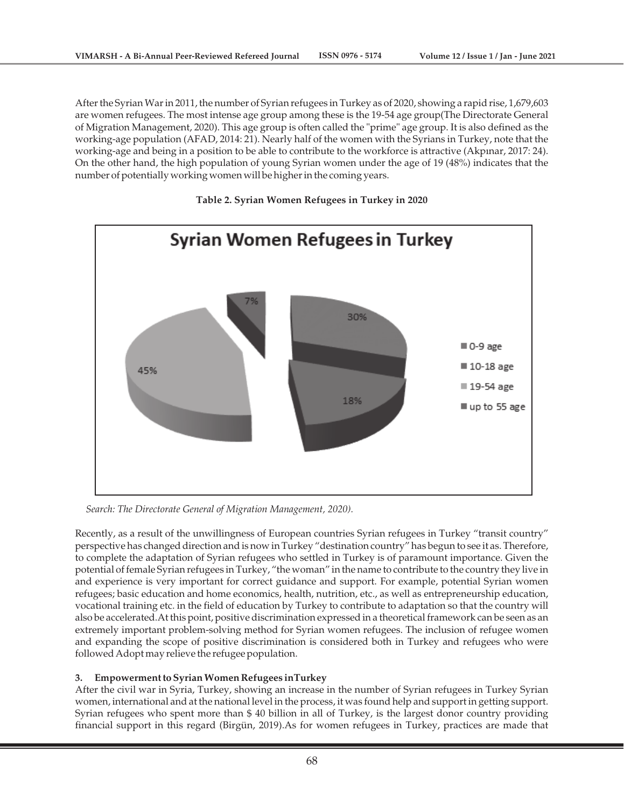After the Syrian War in 2011, the number of Syrian refugees in Turkey as of 2020, showing a rapid rise, 1,679,603 are women refugees. The most intense age group among these is the 19-54 age group(The Directorate General of Migration Management, 2020). This age group is often called the "prime" age group. It is also defined as the working-age population (AFAD, 2014: 21). Nearly half of the women with the Syrians in Turkey, note that the working-age and being in a position to be able to contribute to the workforce is attractive (Akpınar, 2017: 24). On the other hand, the high population of young Syrian women under the age of 19 (48%) indicates that the number of potentially working women will be higher in the coming years.

#### **Table 2. Syrian Women Refugees in Turkey in 2020**



*Search: The Directorate General of Migration Management, 2020).*

Recently, as a result of the unwillingness of European countries Syrian refugees in Turkey "transit country" perspective has changed direction and is now in Turkey "destination country" has begun to see it as. Therefore, to complete the adaptation of Syrian refugees who settled in Turkey is of paramount importance. Given the potential of female Syrian refugees in Turkey, "the woman" in the name to contribute to the country they live in and experience is very important for correct guidance and support. For example, potential Syrian women refugees; basic education and home economics, health, nutrition, etc., as well as entrepreneurship education, vocational training etc. in the field of education by Turkey to contribute to adaptation so that the country will also be accelerated.At this point, positive discrimination expressed in a theoretical framework can be seen as an extremely important problem-solving method for Syrian women refugees. The inclusion of refugee women and expanding the scope of positive discrimination is considered both in Turkey and refugees who were followed Adopt may relieve the refugee population.

# **3. Empowerment to Syrian Women Refugees inTurkey**

After the civil war in Syria, Turkey, showing an increase in the number of Syrian refugees in Turkey Syrian women, international and at the national level in the process, it was found help and support in getting support. Syrian refugees who spent more than \$ 40 billion in all of Turkey, is the largest donor country providing financial support in this regard (Birgün, 2019).As for women refugees in Turkey, practices are made that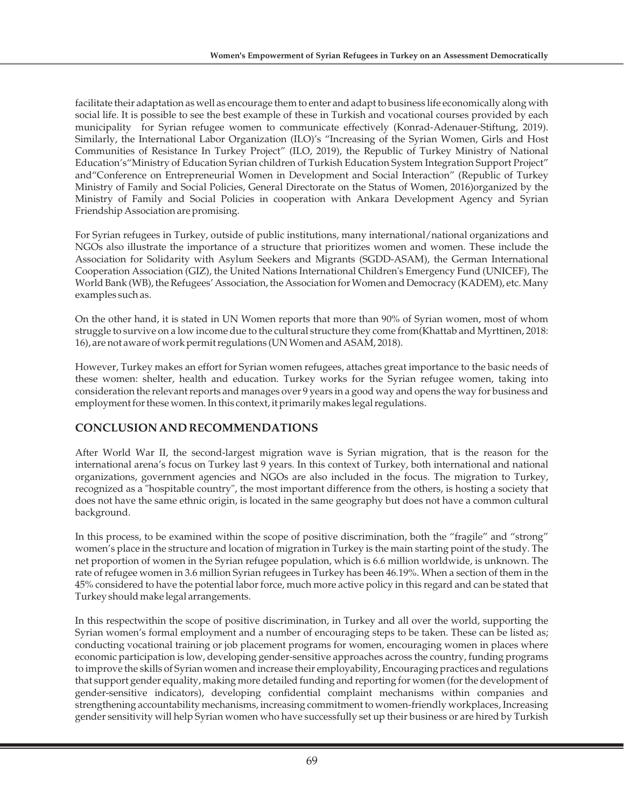facilitate their adaptation as well as encourage them to enter and adapt to business life economically along with social life. It is possible to see the best example of these in Turkish and vocational courses provided by each municipality for Syrian refugee women to communicate effectively (Konrad-Adenauer-Stiftung, 2019). Similarly, the International Labor Organization (ILO)'s "Increasing of the Syrian Women, Girls and Host Communities of Resistance In Turkey Project" (ILO, 2019), the Republic of Turkey Ministry of National Education's"Ministry of Education Syrian children of Turkish Education System Integration Support Project" and"Conference on Entrepreneurial Women in Development and Social Interaction" (Republic of Turkey Ministry of Family and Social Policies, General Directorate on the Status of Women, 2016)organized by the Ministry of Family and Social Policies in cooperation with Ankara Development Agency and Syrian Friendship Association are promising.

For Syrian refugees in Turkey, outside of public institutions, many international/national organizations and NGOs also illustrate the importance of a structure that prioritizes women and women. These include the Association for Solidarity with Asylum Seekers and Migrants (SGDD-ASAM), the German International Cooperation Association (GIZ), the United Nations International Children's Emergency Fund (UNICEF), The World Bank (WB), the Refugees' Association, the Association for Women and Democracy (KADEM), etc. Many examples such as.

On the other hand, it is stated in UN Women reports that more than 90% of Syrian women, most of whom struggle to survive on a low income due to the cultural structure they come from(Khattab and Myrttinen, 2018: 16), are not aware of work permit regulations (UN Women and ASAM, 2018).

However, Turkey makes an effort for Syrian women refugees, attaches great importance to the basic needs of these women: shelter, health and education. Turkey works for the Syrian refugee women, taking into consideration the relevant reports and manages over 9 years in a good way and opens the way for business and employment for these women. In this context, it primarily makes legal regulations.

# **CONCLUSION AND RECOMMENDATIONS**

After World War II, the second-largest migration wave is Syrian migration, that is the reason for the international arena's focus on Turkey last 9 years. In this context of Turkey, both international and national organizations, government agencies and NGOs are also included in the focus. The migration to Turkey, recognized as a "hospitable country", the most important difference from the others, is hosting a society that does not have the same ethnic origin, is located in the same geography but does not have a common cultural background.

In this process, to be examined within the scope of positive discrimination, both the "fragile" and "strong" women's place in the structure and location of migration in Turkey is the main starting point of the study. The net proportion of women in the Syrian refugee population, which is 6.6 million worldwide, is unknown. The rate of refugee women in 3.6 million Syrian refugees in Turkey has been 46.19%. When a section of them in the 45% considered to have the potential labor force, much more active policy in this regard and can be stated that Turkey should make legal arrangements.

In this respectwithin the scope of positive discrimination, in Turkey and all over the world, supporting the Syrian women's formal employment and a number of encouraging steps to be taken. These can be listed as; conducting vocational training or job placement programs for women, encouraging women in places where economic participation is low, developing gender-sensitive approaches across the country, funding programs to improve the skills of Syrian women and increase their employability, Encouraging practices and regulations that support gender equality, making more detailed funding and reporting for women (for the development of gender-sensitive indicators), developing confidential complaint mechanisms within companies and strengthening accountability mechanisms, increasing commitment to women-friendly workplaces, Increasing gender sensitivity will help Syrian women who have successfully set up their business or are hired by Turkish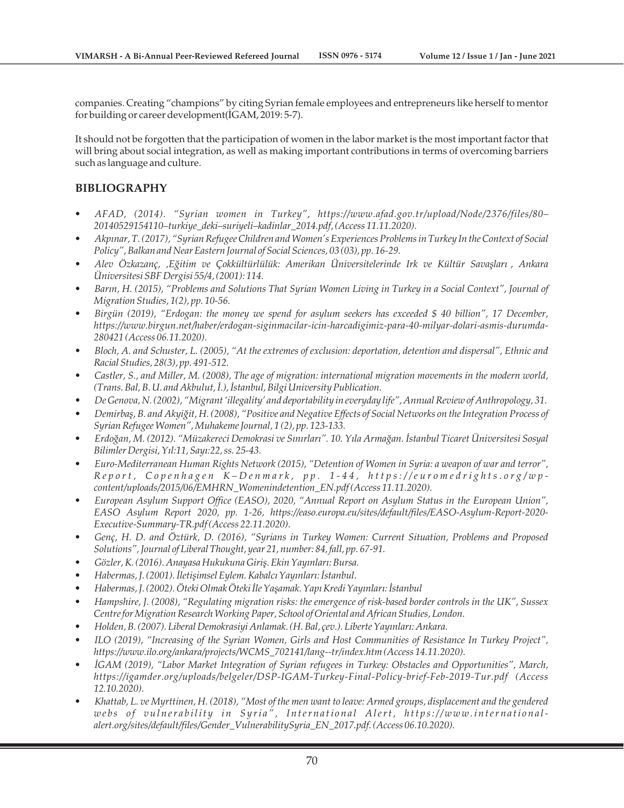companies. Creating "champions" by citing Syrian female employees and entrepreneurs like herself to mentor for building or career development(İGAM, 2019: 5-7).

It should not be forgotten that the participation of women in the labor market is the most important factor that will bring about social integration, as well as making important contributions in terms of overcoming barriers such as language and culture.

# **BIBLIOGRAPHY**

- *AFAD, (2014). "Syrian women in Turkey", https://www.afad.gov.tr/upload/Node/2376/files/80– 20140529154110–turkiye\_deki–suriyeli–kadinlar\_2014.pdf, (Access 11.11.2020).*
- *Akpınar, T. (2017), "Syrian Refugee Children and Women's Experiences Problems in Turkey In the Context of Social Policy", Balkan and Near Eastern Journal of Social Sciences, 03 (03), pp. 16-29.*
- *Alev Özkazanç, 'Eğitim ve Çokkültürlülük: Amerikan Üniversitelerinde Irk ve Kültür Savaşları, Ankara Üniversitesi SBF Dergisi 55/4, (2001): 114.*
- *Barın, H. (2015), "Problems and Solutions That Syrian Women Living in Turkey in a Social Context", Journal of Migration Studies, 1(2), pp. 10-56.*
- *Birgün (2019), "Erdogan: the money we spend for asylum seekers has exceeded \$ 40 billion", 17 December, https://www.birgun.net/haber/erdogan-siginmacilar-icin-harcadigimiz-para-40-milyar-dolari-asmis-durumda-280421 (Access 06.11.2020).*
- *Bloch, A. and Schuster, L. (2005), "At the extremes of exclusion: deportation, detention and dispersal", Ethnic and Racial Studies, 28(3), pp. 491-512.*
- *Castler, S., and Miller, M. (2008), The age of migration: international migration movements in the modern world, (Trans. Bal, B. U. and Akbulut, İ.), İstanbul, Bilgi University Publication.*
- *De Genova, N. (2002), "Migrant 'illegality' and deportability in everyday life", Annual Review of Anthropology, 31.*
- *Demirbaş, B. and Akyiğit, H. (2008), "Positive and Negative Effects of Social Networks on the Integration Process of Syrian Refugee Women", Muhakeme Journal, 1 (2), pp. 123-133.*
- *Erdoğan, M. (2012). "Müzakereci Demokrasi ve Sınırları". 10. Yıla Armağan. İstanbul Ticaret Üniversitesi Sosyal Bilimler Dergisi, Yıl:11, Sayı:22, ss. 25-43.*
- *Euro-Mediterranean Human Rights Network (2015), "Detention of Women in Syria: a weapon of war and terror",*  Report, Copenhagen K-Denmark, pp. 1-44, https://euromedrights.org/wp*content/uploads/2015/06/EMHRN\_Womenindetention\_EN.pdf (Access 11.11.2020).*
- *European Asylum Support Office (EASO), 2020, "Annual Report on Asylum Status in the European Union", EASO Asylum Report 2020, pp. 1-26, https://easo.europa.eu/sites/default/files/EASO-Asylum-Report-2020- Executive-Summary-TR.pdf (Access 22.11.2020).*
- *Genç, H. D. and Öztürk, D. (2016), "Syrians in Turkey Women: Current Situation, Problems and Proposed Solutions", Journal of Liberal Thought, year 21, number: 84, fall, pp. 67-91.*
- *Gözler, K. (2016). Anayasa Hukukuna Giriş. Ekin Yayınları: Bursa.*
- *Habermas, J. (2001). İletişimsel Eylem. Kabalcı Yayınları: İstanbul.*
- *Habermas, J. (2002). Öteki Olmak Öteki İle Yaşamak. Yapı Kredi Yayınları: İstanbul*
- *Hampshire, J. (2008), "Regulating migration risks: the emergence of risk-based border controls in the UK", Sussex Centre for Migration Research Working Paper, School of Oriental and African Studies, London.*
- *Holden, B. (2007). Liberal Demokrasiyi Anlamak. (H. Bal, çev.). Liberte Yayınları: Ankara.*
- *ILO (2019), "Increasing of the Syrian Women, Girls and Host Communities of Resistance In Turkey Project", https://www.ilo.org/ankara/projects/WCMS\_702141/lang--tr/index.htm (Access 14.11.2020).*
- *İGAM (2019), "Labor Market Integration of Syrian refugees in Turkey: Obstacles and Opportunities", March, https://igamder.org/uploads/belgeler/DSP-IGAM-Turkey-Final-Policy-brief-Feb-2019-Tur.pdf (Access 12.10.2020).*
- *Khattab, L. ve Myrttinen, H. (2018), "Most of the men want to leave: Armed groups, displacement and the gendered*  webs of vulnerability in Syria", International Alert, https://www.international*alert.org/sites/default/files/Gender\_VulnerabilitySyria\_EN\_2017.pdf. (Access 06.10.2020).*